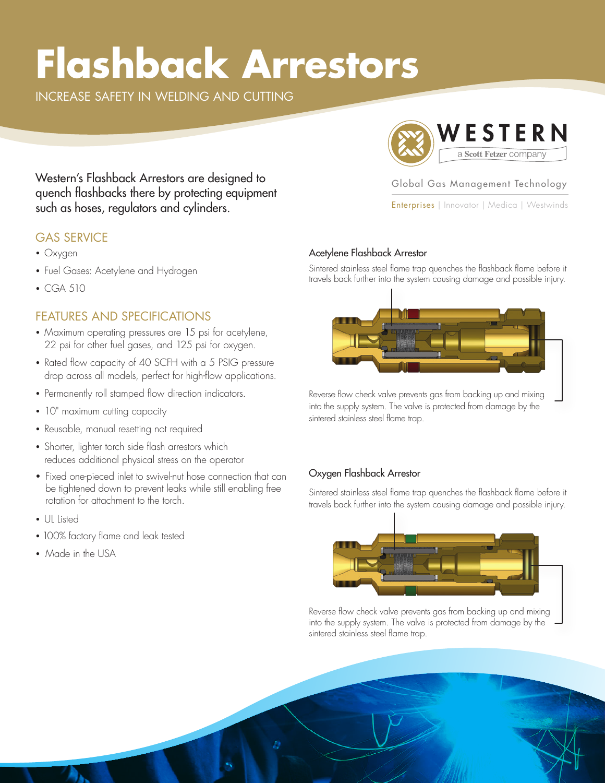# **Flashback Arrestors**

INCREASE SAFETY IN WELDING AND CUTTING



Global Gas Management Technology

Enterprises | Innovator | Medica | Westwinds

Western's Flashback Arrestors are designed to quench flashbacks there by protecting equipment such as hoses, regulators and cylinders.

#### GAS SERVICE

- Oxygen
- Fuel Gases: Acetylene and Hydrogen
- CGA 510

### FEATURES AND SPECIFICATIONS

- Maximum operating pressures are 15 psi for acetylene, 22 psi for other fuel gases, and 125 psi for oxygen.
- Rated flow capacity of 40 SCFH with a 5 PSIG pressure drop across all models, perfect for high-flow applications.
- Permanently roll stamped flow direction indicators.
- 10" maximum cutting capacity
- Reusable, manual resetting not required
- Shorter, lighter torch side flash arrestors which reduces additional physical stress on the operator
- Fixed one-pieced inlet to swivel-nut hose connection that can be tightened down to prevent leaks while still enabling free rotation for attachment to the torch.
- UL Listed
- 100% factory flame and leak tested
- Made in the USA

#### Acetylene Flashback Arrestor

Sintered stainless steel flame trap quenches the flashback flame before it travels back further into the system causing damage and possible injury.



Reverse flow check valve prevents gas from backing up and mixing into the supply system. The valve is protected from damage by the sintered stainless steel flame trap.

#### Oxygen Flashback Arrestor

Sintered stainless steel flame trap quenches the flashback flame before it travels back further into the system causing damage and possible injury.



Reverse flow check valve prevents gas from backing up and mixing into the supply system. The valve is protected from damage by the sintered stainless steel flame trap.